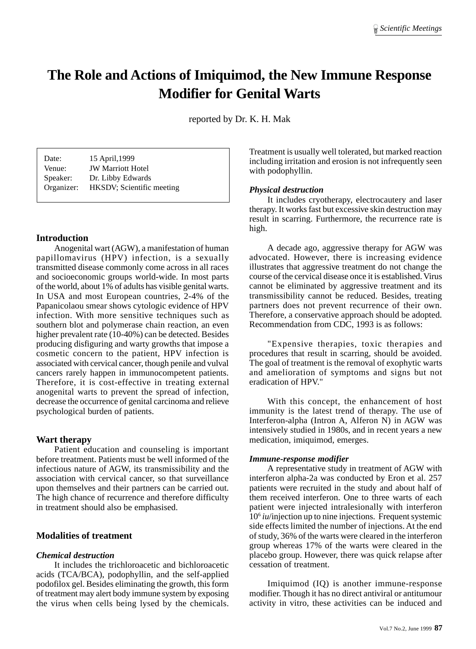# **The Role and Actions of Imiquimod, the New Immune Response Modifier for Genital Warts**

reported by Dr. K. H. Mak

| Date:      | 15 April, 1999            |
|------------|---------------------------|
| Venue:     | <b>JW Marriott Hotel</b>  |
| Speaker:   | Dr. Libby Edwards         |
| Organizer: | HKSDV; Scientific meeting |

## **Introduction**

Anogenital wart (AGW), a manifestation of human papillomavirus (HPV) infection, is a sexually transmitted disease commonly come across in all races and socioeconomic groups world-wide. In most parts of the world, about 1% of adults has visible genital warts. In USA and most European countries, 2-4% of the Papanicolaou smear shows cytologic evidence of HPV infection. With more sensitive techniques such as southern blot and polymerase chain reaction, an even higher prevalent rate (10-40%) can be detected. Besides producing disfiguring and warty growths that impose a cosmetic concern to the patient, HPV infection is associated with cervical cancer, though penile and vulval cancers rarely happen in immunocompetent patients. Therefore, it is cost-effective in treating external anogenital warts to prevent the spread of infection, decrease the occurrence of genital carcinoma and relieve psychological burden of patients.

## **Wart therapy**

Patient education and counseling is important before treatment. Patients must be well informed of the infectious nature of AGW, its transmissibility and the association with cervical cancer, so that surveillance upon themselves and their partners can be carried out. The high chance of recurrence and therefore difficulty in treatment should also be emphasised.

## **Modalities of treatment**

#### *Chemical destruction*

It includes the trichloroacetic and bichloroacetic acids (TCA/BCA), podophyllin, and the self-applied podofilox gel. Besides eliminating the growth, this form of treatment may alert body immune system by exposing the virus when cells being lysed by the chemicals. Treatment is usually well tolerated, but marked reaction including irritation and erosion is not infrequently seen with podophyllin.

### *Physical destruction*

It includes cryotherapy, electrocautery and laser therapy. It works fast but excessive skin destruction may result in scarring. Furthermore, the recurrence rate is high.

A decade ago, aggressive therapy for AGW was advocated. However, there is increasing evidence illustrates that aggressive treatment do not change the course of the cervical disease once it is established. Virus cannot be eliminated by aggressive treatment and its transmissibility cannot be reduced. Besides, treating partners does not prevent recurrence of their own. Therefore, a conservative approach should be adopted. Recommendation from CDC, 1993 is as follows:

"Expensive therapies, toxic therapies and procedures that result in scarring, should be avoided. The goal of treatment is the removal of exophytic warts and amelioration of symptoms and signs but not eradication of HPV."

With this concept, the enhancement of host immunity is the latest trend of therapy. The use of Interferon-alpha (Intron A, Alferon N) in AGW was intensively studied in 1980s, and in recent years a new medication, imiquimod, emerges.

#### *Immune-response modifier*

A representative study in treatment of AGW with interferon alpha-2a was conducted by Eron et al. 257 patients were recruited in the study and about half of them received interferon. One to three warts of each patient were injected intralesionally with interferon 106 *iu*/injection up to nine injections. Frequent systemic side effects limited the number of injections. At the end of study, 36% of the warts were cleared in the interferon group whereas 17% of the warts were cleared in the placebo group. However, there was quick relapse after cessation of treatment.

Imiquimod (IQ) is another immune-response modifier. Though it has no direct antiviral or antitumour activity in vitro, these activities can be induced and